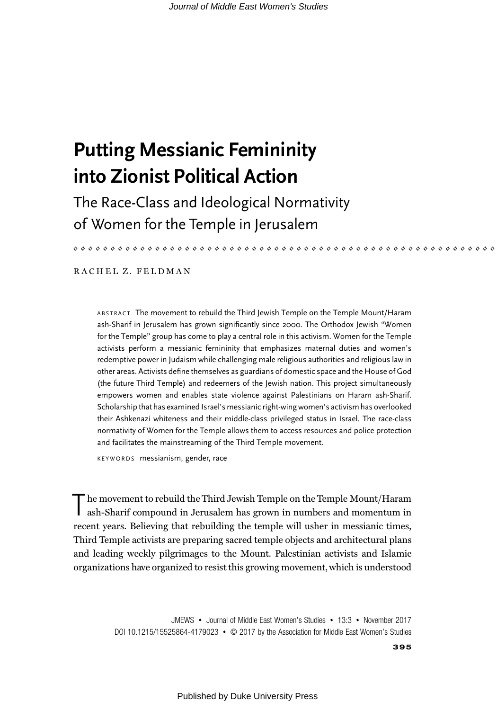# Putting Messianic Femininity into Zionist Political Action

The Race-Class and Ideological Normativity of Women for the Temple in Jerusalem

# RACHEL Z. FELDMAN

ABSTRACT The movement to rebuild the Third Jewish Temple on the Temple Mount/Haram ash-Sharif in Jerusalem has grown significantly since 2000. The Orthodox Jewish "Women for the Temple" group has come to play a central role in this activism. Women for the Temple activists perform a messianic femininity that emphasizes maternal duties and women's redemptive power in Judaism while challenging male religious authorities and religious law in other areas. Activists define themselves as guardians of domestic space and the House of God (the future Third Temple) and redeemers of the Jewish nation. This project simultaneously empowers women and enables state violence against Palestinians on Haram ash-Sharif. Scholarship that has examined Israel's messianic right-wing women's activism has overlooked their Ashkenazi whiteness and their middle-class privileged status in Israel. The race-class normativity of Women for the Temple allows them to access resources and police protection and facilitates the mainstreaming of the Third Temple movement.

KEYWORDS messianism, gender, race

In he movement to rebuild the Third Jewish Temple on the Temple Mount/Haram ash-Sharif compound in Jerusalem has grown in numbers and momentum in recent years. Believing that rebuilding the temple will usher in messianic times, Third Temple activists are preparing sacred temple objects and architectural plans and leading weekly pilgrimages to the Mount. Palestinian activists and Islamic organizations have organized to resist this growing movement, which is understood

> JMEWS • Journal of Middle East Women's Studies • 13:3 • November 2017 DOI 10.1215/15525864-4179023 • © 2017 by the Association for Middle East Women's Studies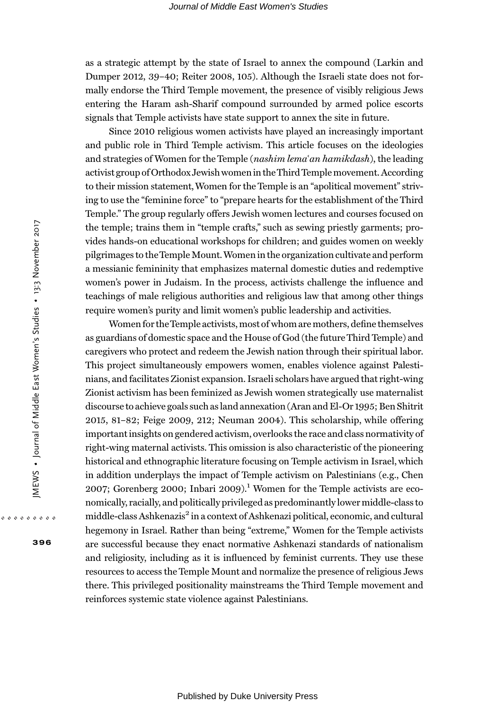as a strategic attempt by the state of Israel to annex the compound (Larkin and Dumper 2012, 39–40; Reiter 2008, 105). Although the Israeli state does not formally endorse the Third Temple movement, the presence of visibly religious Jews entering the Haram ash-Sharif compound surrounded by armed police escorts signals that Temple activists have state support to annex the site in future.

Since 2010 religious women activists have played an increasingly important and public role in Third Temple activism. This article focuses on the ideologies and strategies of Women for the Temple (nashim lema'an hamikdash), the leading activist group of Orthodox Jewish womenin theThird Templemovement. According to their mission statement,Women for the Temple is an "apolitical movement" striving to use the "feminine force" to "prepare hearts for the establishment of the Third Temple." The group regularly offers Jewish women lectures and courses focused on the temple; trains them in "temple crafts," such as sewing priestly garments; provides hands-on educational workshops for children; and guides women on weekly pilgrimages to theTempleMount.Women in the organization cultivate and perform a messianic femininity that emphasizes maternal domestic duties and redemptive women's power in Judaism. In the process, activists challenge the influence and teachings of male religious authorities and religious law that among other things require women's purity and limit women's public leadership and activities.

Women for theTemple activists, most of whom are mothers, define themselves as guardians of domestic space and the House of God (the future Third Temple) and caregivers who protect and redeem the Jewish nation through their spiritual labor. This project simultaneously empowers women, enables violence against Palestinians, and facilitates Zionist expansion. Israeli scholars have argued that right-wing Zionist activism has been feminized as Jewish women strategically use maternalist discourse to achieve goals such as land annexation (Aran and El-Or 1995; Ben Shitrit 2015, 81–82; Feige 2009, 212; Neuman 2004). This scholarship, while offering important insights on gendered activism, overlooks the race and class normativity of right-wing maternal activists. This omission is also characteristic of the pioneering historical and ethnographic literature focusing on Temple activism in Israel, which in addition underplays the impact of Temple activism on Palestinians (e.g., Chen 2007; Gorenberg 2000; Inbari 2009).<sup>1</sup> Women for the Temple activists are economically, racially, and politically privileged as predominantly lower middle-class to middle-class Ashkenazis<sup>2</sup> in a context of Ashkenazi political, economic, and cultural hegemony in Israel. Rather than being "extreme," Women for the Temple activists are successful because they enact normative Ashkenazi standards of nationalism and religiosity, including as it is influenced by feminist currents. They use these resources to access the Temple Mount and normalize the presence of religious Jews there. This privileged positionality mainstreams the Third Temple movement and reinforces systemic state violence against Palestinians.

396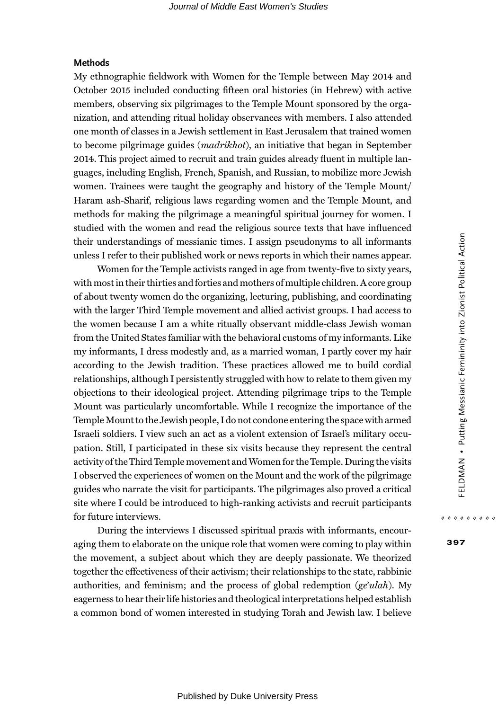## Methods

My ethnographic fieldwork with Women for the Temple between May 2014 and October 2015 included conducting fifteen oral histories (in Hebrew) with active members, observing six pilgrimages to the Temple Mount sponsored by the organization, and attending ritual holiday observances with members. I also attended one month of classes in a Jewish settlement in East Jerusalem that trained women to become pilgrimage guides (madrikhot), an initiative that began in September 2014. This project aimed to recruit and train guides already fluent in multiple languages, including English, French, Spanish, and Russian, to mobilize more Jewish women. Trainees were taught the geography and history of the Temple Mount/ Haram ash-Sharif, religious laws regarding women and the Temple Mount, and methods for making the pilgrimage a meaningful spiritual journey for women. I studied with the women and read the religious source texts that have influenced their understandings of messianic times. I assign pseudonyms to all informants unless I refer to their published work or news reports in which their names appear.

Women for the Temple activists ranged in age from twenty-five to sixty years, with most in their thirties and forties and mothers of multiple children. A core group of about twenty women do the organizing, lecturing, publishing, and coordinating with the larger Third Temple movement and allied activist groups. I had access to the women because I am a white ritually observant middle-class Jewish woman from the United States familiar with the behavioral customs of my informants. Like my informants, I dress modestly and, as a married woman, I partly cover my hair according to the Jewish tradition. These practices allowed me to build cordial relationships, although I persistently struggled with how to relate to them given my objections to their ideological project. Attending pilgrimage trips to the Temple Mount was particularly uncomfortable. While I recognize the importance of the Temple Mount to the Jewish people, I do not condone entering the space with armed Israeli soldiers. I view such an act as a violent extension of Israel's military occupation. Still, I participated in these six visits because they represent the central activity of theThird Temple movement andWomen for theTemple. During the visits I observed the experiences of women on the Mount and the work of the pilgrimage guides who narrate the visit for participants. The pilgrimages also proved a critical site where I could be introduced to high-ranking activists and recruit participants for future interviews.

During the interviews I discussed spiritual praxis with informants, encouraging them to elaborate on the unique role that women were coming to play within the movement, a subject about which they are deeply passionate. We theorized together the effectiveness of their activism; their relationships to the state, rabbinic authorities, and feminism; and the process of global redemption  $(ge'ulah)$ . My eagerness to hear their life histories and theological interpretations helped establish a common bond of women interested in studying Torah and Jewish law. I believe

397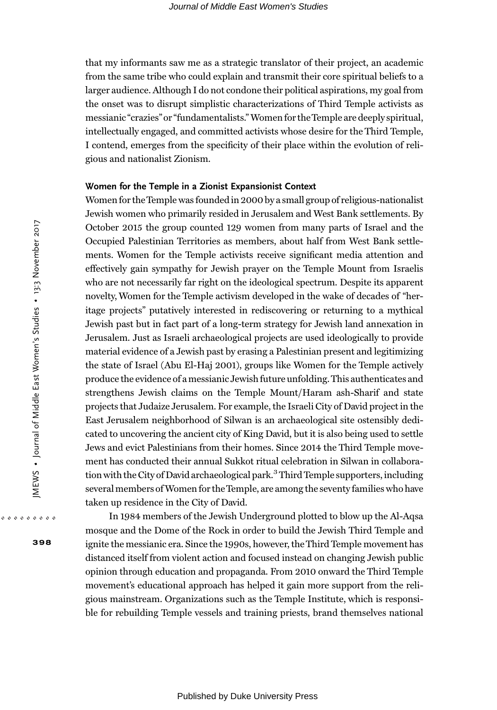that my informants saw me as a strategic translator of their project, an academic from the same tribe who could explain and transmit their core spiritual beliefs to a larger audience. Although I do not condone their political aspirations, my goal from the onset was to disrupt simplistic characterizations of Third Temple activists as messianic "crazies" or"fundamentalists." Women for theTemple are deeply spiritual, intellectually engaged, and committed activists whose desire for the Third Temple, I contend, emerges from the specificity of their place within the evolution of religious and nationalist Zionism.

#### Women for the Temple in a Zionist Expansionist Context

Women for the Temple was founded in 2000 by a small group of religious-nationalist Jewish women who primarily resided in Jerusalem and West Bank settlements. By October 2015 the group counted 129 women from many parts of Israel and the Occupied Palestinian Territories as members, about half from West Bank settlements. Women for the Temple activists receive significant media attention and effectively gain sympathy for Jewish prayer on the Temple Mount from Israelis who are not necessarily far right on the ideological spectrum. Despite its apparent novelty,Women for the Temple activism developed in the wake of decades of "heritage projects" putatively interested in rediscovering or returning to a mythical Jewish past but in fact part of a long-term strategy for Jewish land annexation in Jerusalem. Just as Israeli archaeological projects are used ideologically to provide material evidence of a Jewish past by erasing a Palestinian present and legitimizing the state of Israel (Abu El-Haj 2001), groups like Women for the Temple actively produce the evidence of a messianic Jewish future unfolding. This authenticates and strengthens Jewish claims on the Temple Mount/Haram ash-Sharif and state projects that Judaize Jerusalem. For example, the Israeli City of David project in the East Jerusalem neighborhood of Silwan is an archaeological site ostensibly dedicated to uncovering the ancient city of King David, but it is also being used to settle Jews and evict Palestinians from their homes. Since 2014 the Third Temple movement has conducted their annual Sukkot ritual celebration in Silwan in collaboration with the City of David archaeological park.<sup>3</sup> Third Temple supporters, including several members ofWomen for theTemple, are among the seventy families who have taken up residence in the City of David.

In 1984 members of the Jewish Underground plotted to blow up the Al-Aqsa mosque and the Dome of the Rock in order to build the Jewish Third Temple and ignite the messianic era. Since the 1990s, however, the Third Temple movement has distanced itself from violent action and focused instead on changing Jewish public opinion through education and propaganda. From 2010 onward the Third Temple movement's educational approach has helped it gain more support from the religious mainstream. Organizations such as the Temple Institute, which is responsible for rebuilding Temple vessels and training priests, brand themselves national

398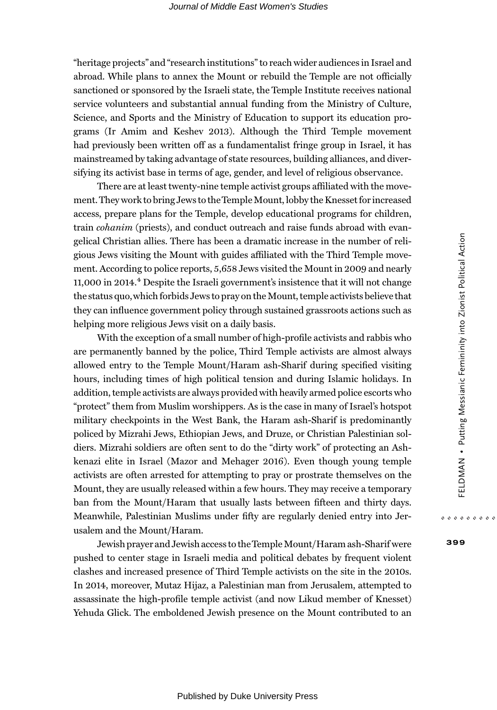"heritage projects" and "research institutions" to reach wider audiences in Israel and abroad. While plans to annex the Mount or rebuild the Temple are not officially sanctioned or sponsored by the Israeli state, the Temple Institute receives national service volunteers and substantial annual funding from the Ministry of Culture, Science, and Sports and the Ministry of Education to support its education programs (Ir Amim and Keshev 2013). Although the Third Temple movement had previously been written off as a fundamentalist fringe group in Israel, it has mainstreamed by taking advantage of state resources, building alliances, and diversifying its activist base in terms of age, gender, and level of religious observance.

There are at least twenty-nine temple activist groups affiliated with the movement. They work to bring Jews to theTempleMount, lobby the Knesset for increased access, prepare plans for the Temple, develop educational programs for children, train *cohanim* (priests), and conduct outreach and raise funds abroad with evangelical Christian allies. There has been a dramatic increase in the number of religious Jews visiting the Mount with guides affiliated with the Third Temple movement. According to police reports, 5,658 Jews visited the Mount in 2009 and nearly 11,000 in 2014.4 Despite the Israeli government's insistence that it will not change the status quo,which forbids Jews to pray on the Mount, temple activists believe that they can influence government policy through sustained grassroots actions such as helping more religious Jews visit on a daily basis.

With the exception of a small number of high-profile activists and rabbis who are permanently banned by the police, Third Temple activists are almost always allowed entry to the Temple Mount/Haram ash-Sharif during specified visiting hours, including times of high political tension and during Islamic holidays. In addition, temple activists are always provided with heavily armed police escorts who "protect" them from Muslim worshippers. As is the case in many of Israel's hotspot military checkpoints in the West Bank, the Haram ash-Sharif is predominantly policed by Mizrahi Jews, Ethiopian Jews, and Druze, or Christian Palestinian soldiers. Mizrahi soldiers are often sent to do the "dirty work" of protecting an Ashkenazi elite in Israel (Mazor and Mehager 2016). Even though young temple activists are often arrested for attempting to pray or prostrate themselves on the Mount, they are usually released within a few hours. They may receive a temporary ban from the Mount/Haram that usually lasts between fifteen and thirty days. Meanwhile, Palestinian Muslims under fifty are regularly denied entry into Jerusalem and the Mount/Haram.

Jewish prayer and Jewish access to theTempleMount/Haram ash-Sharif were pushed to center stage in Israeli media and political debates by frequent violent clashes and increased presence of Third Temple activists on the site in the 2010s. In 2014, moreover, Mutaz Hijaz, a Palestinian man from Jerusalem, attempted to assassinate the high-profile temple activist (and now Likud member of Knesset) Yehuda Glick. The emboldened Jewish presence on the Mount contributed to an 399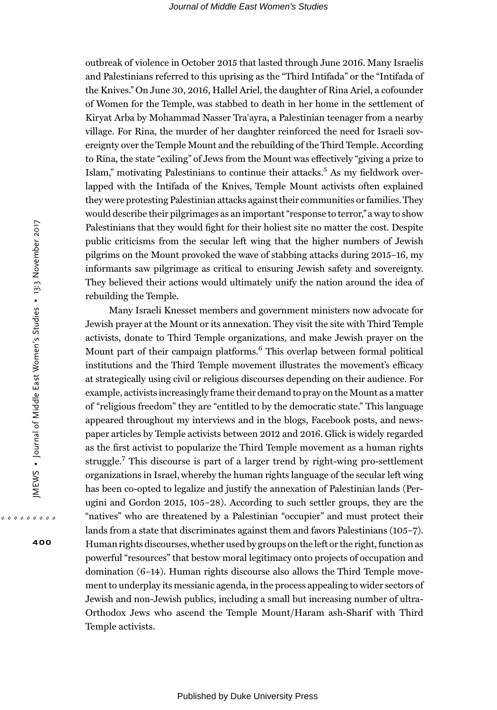outbreak of violence in October 2015 that lasted through June 2016. Many Israelis and Palestinians referred to this uprising as the "Third Intifada" or the "Intifada of the Knives." On June 30, 2016, Hallel Ariel, the daughter of Rina Ariel, a cofounder of Women for the Temple, was stabbed to death in her home in the settlement of Kiryat Arba by Mohammad Nasser Traʿayra, a Palestinian teenager from a nearby village. For Rina, the murder of her daughter reinforced the need for Israeli sovereignty over the Temple Mount and the rebuilding of the Third Temple. According to Rina, the state "exiling" of Jews from the Mount was effectively "giving a prize to Islam," motivating Palestinians to continue their attacks.<sup>5</sup> As my fieldwork overlapped with the Intifada of the Knives, Temple Mount activists often explained they were protesting Palestinian attacks against their communities or families. They would describe their pilgrimages as an important "response to terror," a way to show Palestinians that they would fight for their holiest site no matter the cost. Despite public criticisms from the secular left wing that the higher numbers of Jewish pilgrims on the Mount provoked the wave of stabbing attacks during 2015–16, my informants saw pilgrimage as critical to ensuring Jewish safety and sovereignty. They believed their actions would ultimately unify the nation around the idea of rebuilding the Temple.

Many Israeli Knesset members and government ministers now advocate for Jewish prayer at the Mount or its annexation. They visit the site with Third Temple activists, donate to Third Temple organizations, and make Jewish prayer on the Mount part of their campaign platforms.<sup>6</sup> This overlap between formal political institutions and the Third Temple movement illustrates the movement's efficacy at strategically using civil or religious discourses depending on their audience. For example, activists increasingly frame their demand to pray on the Mount as a matter of "religious freedom" they are "entitled to by the democratic state." This language appeared throughout my interviews and in the blogs, Facebook posts, and newspaper articles by Temple activists between 2012 and 2016. Glick is widely regarded as the first activist to popularize the Third Temple movement as a human rights struggle.7 This discourse is part of a larger trend by right-wing pro-settlement organizations in Israel, whereby the human rights language of the secular left wing has been co-opted to legalize and justify the annexation of Palestinian lands (Perugini and Gordon 2015, 105–28). According to such settler groups, they are the "natives" who are threatened by a Palestinian "occupier" and must protect their lands from a state that discriminates against them and favors Palestinians (105–7). Human rights discourses,whether used by groups on the left or the right, function as powerful "resources" that bestow moral legitimacy onto projects of occupation and domination (6–14). Human rights discourse also allows the Third Temple movement to underplay its messianic agenda, in the process appealing to wider sectors of Jewish and non-Jewish publics, including a small but increasing number of ultra-Orthodox Jews who ascend the Temple Mount/Haram ash-Sharif with Third Temple activists.

400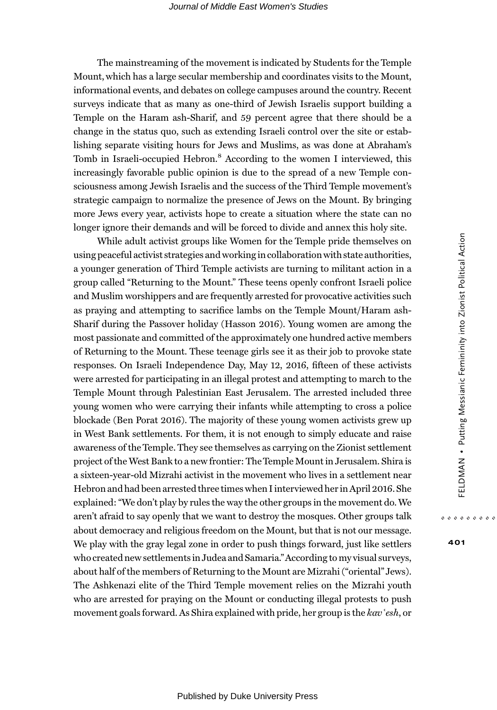The mainstreaming of the movement is indicated by Students for the Temple Mount, which has a large secular membership and coordinates visits to the Mount, informational events, and debates on college campuses around the country. Recent surveys indicate that as many as one-third of Jewish Israelis support building a Temple on the Haram ash-Sharif, and 59 percent agree that there should be a change in the status quo, such as extending Israeli control over the site or establishing separate visiting hours for Jews and Muslims, as was done at Abraham's Tomb in Israeli-occupied Hebron.<sup>8</sup> According to the women I interviewed, this increasingly favorable public opinion is due to the spread of a new Temple consciousness among Jewish Israelis and the success of the Third Temple movement's strategic campaign to normalize the presence of Jews on the Mount. By bringing more Jews every year, activists hope to create a situation where the state can no longer ignore their demands and will be forced to divide and annex this holy site.

While adult activist groups like Women for the Temple pride themselves on using peaceful activist strategies and working in collaboration with state authorities, a younger generation of Third Temple activists are turning to militant action in a group called "Returning to the Mount." These teens openly confront Israeli police and Muslim worshippers and are frequently arrested for provocative activities such as praying and attempting to sacrifice lambs on the Temple Mount/Haram ash-Sharif during the Passover holiday (Hasson 2016). Young women are among the most passionate and committed of the approximately one hundred active members of Returning to the Mount. These teenage girls see it as their job to provoke state responses. On Israeli Independence Day, May 12, 2016, fifteen of these activists were arrested for participating in an illegal protest and attempting to march to the Temple Mount through Palestinian East Jerusalem. The arrested included three young women who were carrying their infants while attempting to cross a police blockade (Ben Porat 2016). The majority of these young women activists grew up in West Bank settlements. For them, it is not enough to simply educate and raise awareness of the Temple. They see themselves as carrying on the Zionist settlement project of the West Bank to a new frontier: TheTemple Mount in Jerusalem. Shira is a sixteen-year-old Mizrahi activist in the movement who lives in a settlement near Hebron and had been arrested three times when I interviewed her in April 2016. She explained: "We don't play by rules the way the other groups in the movement do.We aren't afraid to say openly that we want to destroy the mosques. Other groups talk about democracy and religious freedom on the Mount, but that is not our message. We play with the gray legal zone in order to push things forward, just like settlers who created new settlements in Judea and Samaria."According to my visual surveys, about half of the members of Returning to the Mount are Mizrahi ("oriental" Jews). The Ashkenazi elite of the Third Temple movement relies on the Mizrahi youth who are arrested for praying on the Mount or conducting illegal protests to push movement goals forward. As Shira explained with pride, her group is the  $kav$   $\infty$ , or

401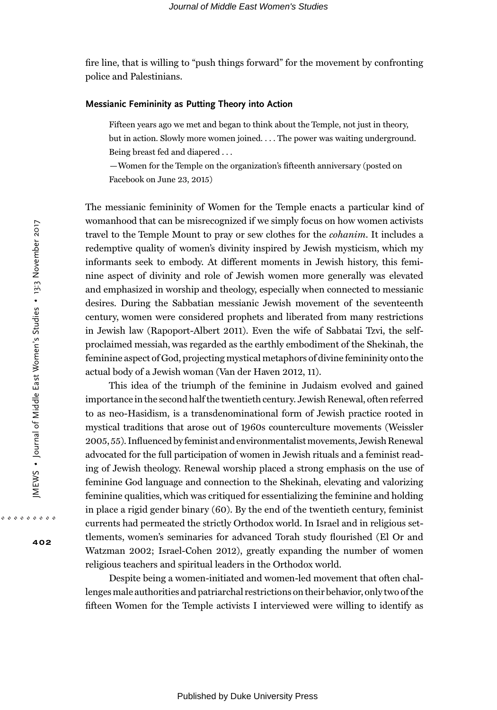fire line, that is willing to "push things forward" for the movement by confronting police and Palestinians.

### Messianic Femininity as Putting Theory into Action

Fifteen years ago we met and began to think about the Temple, not just in theory, but in action. Slowly more women joined. . . . The power was waiting underground. Being breast fed and diapered . . .

—Women for the Temple on the organization's fifteenth anniversary (posted on Facebook on June 23, 2015)

The messianic femininity of Women for the Temple enacts a particular kind of womanhood that can be misrecognized if we simply focus on how women activists travel to the Temple Mount to pray or sew clothes for the cohanim. It includes a redemptive quality of women's divinity inspired by Jewish mysticism, which my informants seek to embody. At different moments in Jewish history, this feminine aspect of divinity and role of Jewish women more generally was elevated and emphasized in worship and theology, especially when connected to messianic desires. During the Sabbatian messianic Jewish movement of the seventeenth century, women were considered prophets and liberated from many restrictions in Jewish law (Rapoport-Albert 2011). Even the wife of Sabbatai Tzvi, the selfproclaimed messiah, was regarded as the earthly embodiment of the Shekinah, the feminine aspect of God, projecting mystical metaphors of divine femininity onto the actual body of a Jewish woman (Van der Haven 2012, 11).

This idea of the triumph of the feminine in Judaism evolved and gained importance in the second half the twentieth century. Jewish Renewal, often referred to as neo-Hasidism, is a transdenominational form of Jewish practice rooted in mystical traditions that arose out of 1960s counterculture movements (Weissler 2005, 55). Influenced by feminist and environmentalistmovements, Jewish Renewal advocated for the full participation of women in Jewish rituals and a feminist reading of Jewish theology. Renewal worship placed a strong emphasis on the use of feminine God language and connection to the Shekinah, elevating and valorizing feminine qualities, which was critiqued for essentializing the feminine and holding in place a rigid gender binary (60). By the end of the twentieth century, feminist currents had permeated the strictly Orthodox world. In Israel and in religious settlements, women's seminaries for advanced Torah study flourished (El Or and Watzman 2002; Israel-Cohen 2012), greatly expanding the number of women religious teachers and spiritual leaders in the Orthodox world.

Despite being a women-initiated and women-led movement that often challenges male authorities and patriarchal restrictions on their behavior, only two of the fifteen Women for the Temple activists I interviewed were willing to identify as

402

. . . . . . . . .

Published by Duke University Press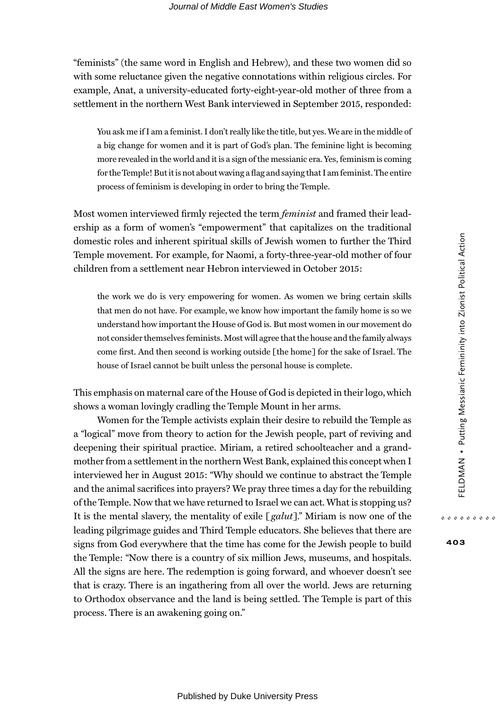"feminists" (the same word in English and Hebrew), and these two women did so with some reluctance given the negative connotations within religious circles. For example, Anat, a university-educated forty-eight-year-old mother of three from a settlement in the northern West Bank interviewed in September 2015, responded:

You ask me if I am a feminist. I don't really like the title, but yes.We are in the middle of a big change for women and it is part of God's plan. The feminine light is becoming more revealed in the world and it is a sign of the messianic era. Yes, feminism is coming for theTemple! But it is not about waving a flag and saying that I am feminist. The entire process of feminism is developing in order to bring the Temple.

Most women interviewed firmly rejected the term *feminist* and framed their leadership as a form of women's "empowerment" that capitalizes on the traditional domestic roles and inherent spiritual skills of Jewish women to further the Third Temple movement. For example, for Naomi, a forty-three-year-old mother of four children from a settlement near Hebron interviewed in October 2015:

the work we do is very empowering for women. As women we bring certain skills that men do not have. For example, we know how important the family home is so we understand how important the House of God is. But most women in our movement do not consider themselves feminists. Most will agree that the house and the family always come first. And then second is working outside [the home] for the sake of Israel. The house of Israel cannot be built unless the personal house is complete.

This emphasis on maternal care of the House of God is depicted in their logo, which shows a woman lovingly cradling the Temple Mount in her arms.

Women for the Temple activists explain their desire to rebuild the Temple as a "logical" move from theory to action for the Jewish people, part of reviving and deepening their spiritual practice. Miriam, a retired schoolteacher and a grandmother from a settlement in the northern West Bank, explained this concept when I interviewed her in August 2015: "Why should we continue to abstract the Temple and the animal sacrifices into prayers? We pray three times a day for the rebuilding of the Temple. Now that we have returned to Israel we can act.What is stopping us? It is the mental slavery, the mentality of exile  $[galut]$ ." Miriam is now one of the leading pilgrimage guides and Third Temple educators. She believes that there are signs from God everywhere that the time has come for the Jewish people to build the Temple: "Now there is a country of six million Jews, museums, and hospitals. All the signs are here. The redemption is going forward, and whoever doesn't see that is crazy. There is an ingathering from all over the world. Jews are returning to Orthodox observance and the land is being settled. The Temple is part of this process. There is an awakening going on."

403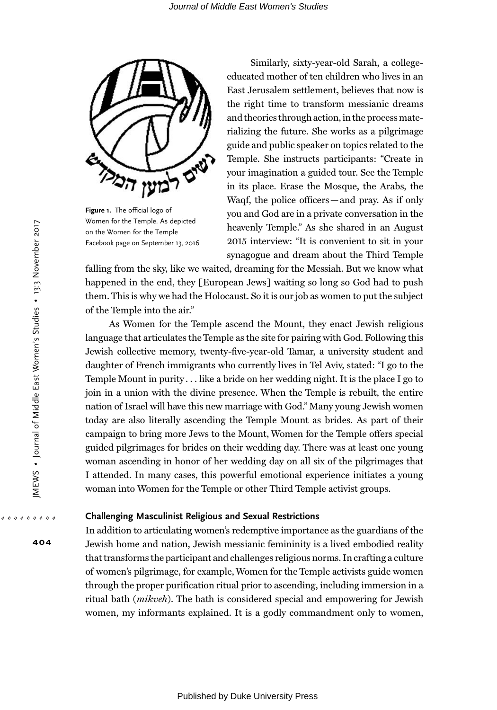

Figure 1. The official logo of Women for the Temple. As depicted on the Women for the Temple Facebook page on September 13, 2016

Similarly, sixty-year-old Sarah, a collegeeducated mother of ten children who lives in an East Jerusalem settlement, believes that now is the right time to transform messianic dreams and theories through action, in the process materializing the future. She works as a pilgrimage guide and public speaker on topics related to the Temple. She instructs participants: "Create in your imagination a guided tour. See the Temple in its place. Erase the Mosque, the Arabs, the Waqf, the police officers—and pray. As if only you and God are in a private conversation in the heavenly Temple." As she shared in an August 2015 interview: "It is convenient to sit in your synagogue and dream about the Third Temple

falling from the sky, like we waited, dreaming for the Messiah. But we know what happened in the end, they [European Jews] waiting so long so God had to push them. This is why we had the Holocaust. So it is our job as women to put the subject of the Temple into the air."

As Women for the Temple ascend the Mount, they enact Jewish religious language that articulates the Temple as the site for pairing with God. Following this Jewish collective memory, twenty-five-year-old Tamar, a university student and daughter of French immigrants who currently lives in Tel Aviv, stated: "I go to the Temple Mount in purity . . . like a bride on her wedding night. It is the place I go to join in a union with the divine presence. When the Temple is rebuilt, the entire nation of Israel will have this new marriage with God." Many young Jewish women today are also literally ascending the Temple Mount as brides. As part of their campaign to bring more Jews to the Mount, Women for the Temple offers special guided pilgrimages for brides on their wedding day. There was at least one young woman ascending in honor of her wedding day on all six of the pilgrimages that I attended. In many cases, this powerful emotional experience initiates a young woman into Women for the Temple or other Third Temple activist groups.

# Challenging Masculinist Religious and Sexual Restrictions

In addition to articulating women's redemptive importance as the guardians of the Jewish home and nation, Jewish messianic femininity is a lived embodied reality that transforms the participant and challenges religious norms. In crafting a culture of women's pilgrimage, for example,Women for the Temple activists guide women through the proper purification ritual prior to ascending, including immersion in a ritual bath (mikveh). The bath is considered special and empowering for Jewish women, my informants explained. It is a godly commandment only to women,

404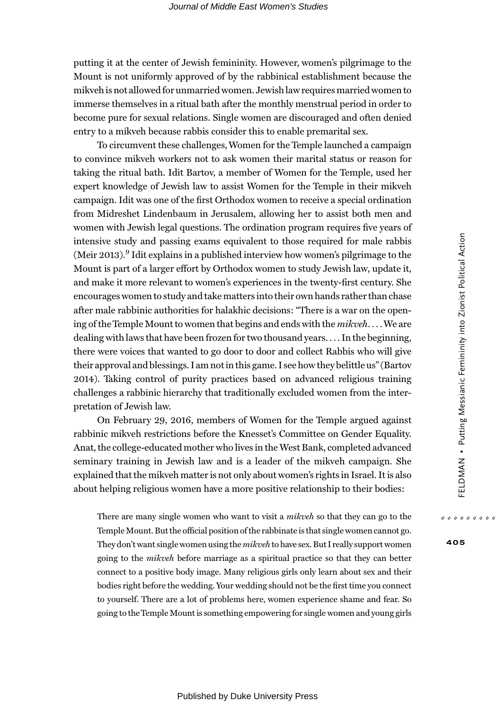putting it at the center of Jewish femininity. However, women's pilgrimage to the Mount is not uniformly approved of by the rabbinical establishment because the mikveh is not allowed for unmarried women. Jewish law requires married women to immerse themselves in a ritual bath after the monthly menstrual period in order to become pure for sexual relations. Single women are discouraged and often denied entry to a mikveh because rabbis consider this to enable premarital sex.

To circumvent these challenges,Women for the Temple launched a campaign to convince mikveh workers not to ask women their marital status or reason for taking the ritual bath. Idit Bartov, a member of Women for the Temple, used her expert knowledge of Jewish law to assist Women for the Temple in their mikveh campaign. Idit was one of the first Orthodox women to receive a special ordination from Midreshet Lindenbaum in Jerusalem, allowing her to assist both men and women with Jewish legal questions. The ordination program requires five years of intensive study and passing exams equivalent to those required for male rabbis (Meir 2013).<sup>9</sup> Idit explains in a published interview how women's pilgrimage to the Mount is part of a larger effort by Orthodox women to study Jewish law, update it, and make it more relevant to women's experiences in the twenty-first century. She encourages women to study and take matters into their own hands rather than chase after male rabbinic authorities for halakhic decisions: "There is a war on the opening of the Temple Mount to women that begins and ends with the *mikveh*.... We are dealing with laws that have been frozen for two thousand years. . . . In the beginning, there were voices that wanted to go door to door and collect Rabbis who will give their approval and blessings. I am not in this game. I see how they belittle us"(Bartov 2014). Taking control of purity practices based on advanced religious training challenges a rabbinic hierarchy that traditionally excluded women from the interpretation of Jewish law.

On February 29, 2016, members of Women for the Temple argued against rabbinic mikveh restrictions before the Knesset's Committee on Gender Equality. Anat, the college-educated mother who lives in the West Bank, completed advanced seminary training in Jewish law and is a leader of the mikveh campaign. She explained that the mikveh matter is not only about women's rights in Israel. It is also about helping religious women have a more positive relationship to their bodies:

There are many single women who want to visit a *mikveh* so that they can go to the Temple Mount. But the official position of the rabbinate is that single women cannot go. They don't want single women using the mikveh to have sex. But I really support women going to the mikveh before marriage as a spiritual practice so that they can better connect to a positive body image. Many religious girls only learn about sex and their bodies right before the wedding. Your wedding should not be the first time you connect to yourself. There are a lot of problems here, women experience shame and fear. So going to the Temple Mount is something empowering for single women and young girls

405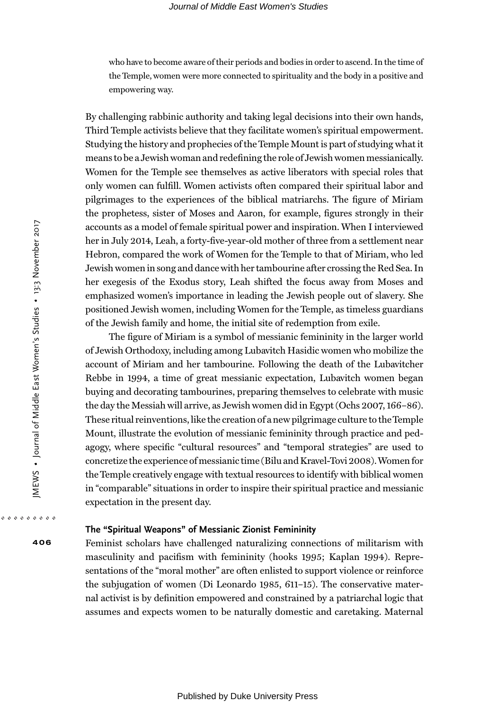who have to become aware of their periods and bodies in order to ascend. In the time of the Temple, women were more connected to spirituality and the body in a positive and empowering way.

By challenging rabbinic authority and taking legal decisions into their own hands, Third Temple activists believe that they facilitate women's spiritual empowerment. Studying the history and prophecies of the Temple Mount is part of studying what it means to be a Jewish woman and redefining the role of Jewish women messianically. Women for the Temple see themselves as active liberators with special roles that only women can fulfill. Women activists often compared their spiritual labor and pilgrimages to the experiences of the biblical matriarchs. The figure of Miriam the prophetess, sister of Moses and Aaron, for example, figures strongly in their accounts as a model of female spiritual power and inspiration. When I interviewed her in July 2014, Leah, a forty-five-year-old mother of three from a settlement near Hebron, compared the work of Women for the Temple to that of Miriam, who led Jewish women in song and dance with her tambourine after crossing the Red Sea. In her exegesis of the Exodus story, Leah shifted the focus away from Moses and emphasized women's importance in leading the Jewish people out of slavery. She positioned Jewish women, including Women for the Temple, as timeless guardians of the Jewish family and home, the initial site of redemption from exile.

The figure of Miriam is a symbol of messianic femininity in the larger world of Jewish Orthodoxy, including among Lubavitch Hasidic women who mobilize the account of Miriam and her tambourine. Following the death of the Lubavitcher Rebbe in 1994, a time of great messianic expectation, Lubavitch women began buying and decorating tambourines, preparing themselves to celebrate with music the day the Messiah will arrive, as Jewish women did in Egypt (Ochs 2007, 166–86). These ritual reinventions, like the creation of a new pilgrimage culture to theTemple Mount, illustrate the evolution of messianic femininity through practice and pedagogy, where specific "cultural resources" and "temporal strategies" are used to concretize the experience of messianic time (Bilu and Kravel-Tovi 2008).Women for the Temple creatively engage with textual resources to identify with biblical women in "comparable" situations in order to inspire their spiritual practice and messianic expectation in the present day.

## The "Spiritual Weapons" of Messianic Zionist Femininity

Feminist scholars have challenged naturalizing connections of militarism with masculinity and pacifism with femininity (hooks 1995; Kaplan 1994). Representations of the "moral mother" are often enlisted to support violence or reinforce the subjugation of women (Di Leonardo 1985, 611–15). The conservative maternal activist is by definition empowered and constrained by a patriarchal logic that assumes and expects women to be naturally domestic and caretaking. Maternal

406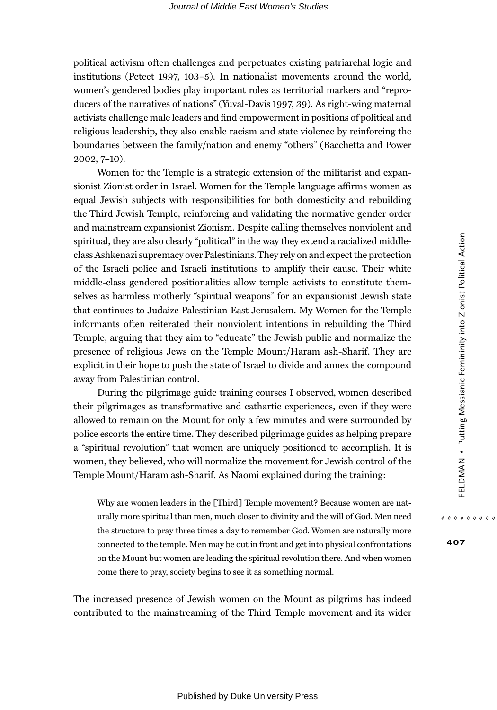political activism often challenges and perpetuates existing patriarchal logic and institutions (Peteet 1997, 103–5). In nationalist movements around the world, women's gendered bodies play important roles as territorial markers and "reproducers of the narratives of nations" (Yuval-Davis 1997, 39). As right-wing maternal activists challenge male leaders and find empowerment in positions of political and religious leadership, they also enable racism and state violence by reinforcing the boundaries between the family/nation and enemy "others" (Bacchetta and Power 2002, 7–10).

Women for the Temple is a strategic extension of the militarist and expansionist Zionist order in Israel. Women for the Temple language affirms women as equal Jewish subjects with responsibilities for both domesticity and rebuilding the Third Jewish Temple, reinforcing and validating the normative gender order and mainstream expansionist Zionism. Despite calling themselves nonviolent and spiritual, they are also clearly "political" in the way they extend a racialized middleclass Ashkenazi supremacy over Palestinians. They rely on and expect the protection of the Israeli police and Israeli institutions to amplify their cause. Their white middle-class gendered positionalities allow temple activists to constitute themselves as harmless motherly "spiritual weapons" for an expansionist Jewish state that continues to Judaize Palestinian East Jerusalem. My Women for the Temple informants often reiterated their nonviolent intentions in rebuilding the Third Temple, arguing that they aim to "educate" the Jewish public and normalize the presence of religious Jews on the Temple Mount/Haram ash-Sharif. They are explicit in their hope to push the state of Israel to divide and annex the compound away from Palestinian control.

During the pilgrimage guide training courses I observed, women described their pilgrimages as transformative and cathartic experiences, even if they were allowed to remain on the Mount for only a few minutes and were surrounded by police escorts the entire time. They described pilgrimage guides as helping prepare a "spiritual revolution" that women are uniquely positioned to accomplish. It is women, they believed, who will normalize the movement for Jewish control of the Temple Mount/Haram ash-Sharif. As Naomi explained during the training:

Why are women leaders in the [Third] Temple movement? Because women are naturally more spiritual than men, much closer to divinity and the will of God. Men need the structure to pray three times a day to remember God. Women are naturally more connected to the temple. Men may be out in front and get into physical confrontations on the Mount but women are leading the spiritual revolution there. And when women come there to pray, society begins to see it as something normal.

The increased presence of Jewish women on the Mount as pilgrims has indeed contributed to the mainstreaming of the Third Temple movement and its wider 407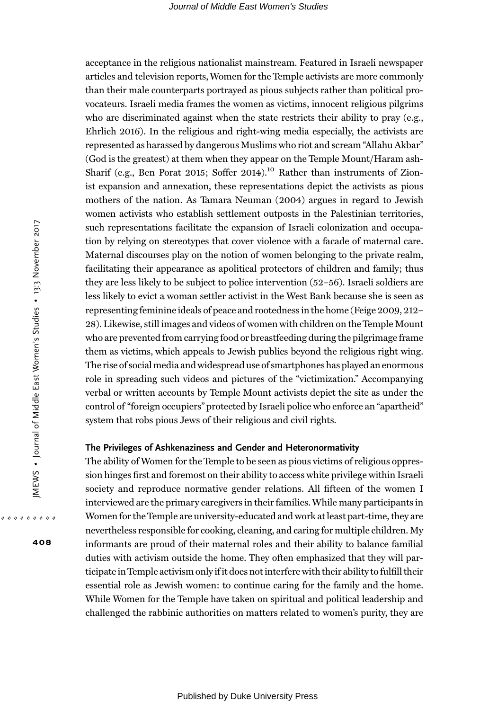acceptance in the religious nationalist mainstream. Featured in Israeli newspaper articles and television reports,Women for the Temple activists are more commonly than their male counterparts portrayed as pious subjects rather than political provocateurs. Israeli media frames the women as victims, innocent religious pilgrims who are discriminated against when the state restricts their ability to pray (e.g., Ehrlich 2016). In the religious and right-wing media especially, the activists are represented as harassed by dangerous Muslims who riot and scream "Allahu Akbar" (God is the greatest) at them when they appear on the Temple Mount/Haram ash-Sharif (e.g., Ben Porat 2015; Soffer 2014).<sup>10</sup> Rather than instruments of Zionist expansion and annexation, these representations depict the activists as pious mothers of the nation. As Tamara Neuman (2004) argues in regard to Jewish women activists who establish settlement outposts in the Palestinian territories, such representations facilitate the expansion of Israeli colonization and occupation by relying on stereotypes that cover violence with a facade of maternal care. Maternal discourses play on the notion of women belonging to the private realm, facilitating their appearance as apolitical protectors of children and family; thus they are less likely to be subject to police intervention (52–56). Israeli soldiers are less likely to evict a woman settler activist in the West Bank because she is seen as representing feminine ideals of peace and rootedness in the home (Feige 2009, 212– 28). Likewise, still images and videos of women with children on the Temple Mount who are prevented from carrying food or breastfeeding during the pilgrimage frame them as victims, which appeals to Jewish publics beyond the religious right wing. The rise of social media and widespread use of smartphones has played an enormous role in spreading such videos and pictures of the "victimization." Accompanying verbal or written accounts by Temple Mount activists depict the site as under the control of "foreign occupiers" protected by Israeli police who enforce an "apartheid" system that robs pious Jews of their religious and civil rights.

### The Privileges of Ashkenaziness and Gender and Heteronormativity

The ability of Women for the Temple to be seen as pious victims of religious oppression hinges first and foremost on their ability to access white privilege within Israeli society and reproduce normative gender relations. All fifteen of the women I interviewed are the primary caregivers in their families.While many participants in Women for the Temple are university-educated and work at least part-time, they are nevertheless responsible for cooking, cleaning, and caring for multiple children. My informants are proud of their maternal roles and their ability to balance familial duties with activism outside the home. They often emphasized that they will participate in Temple activism only if it does not interfere with their ability to fulfill their essential role as Jewish women: to continue caring for the family and the home. While Women for the Temple have taken on spiritual and political leadership and challenged the rabbinic authorities on matters related to women's purity, they are

408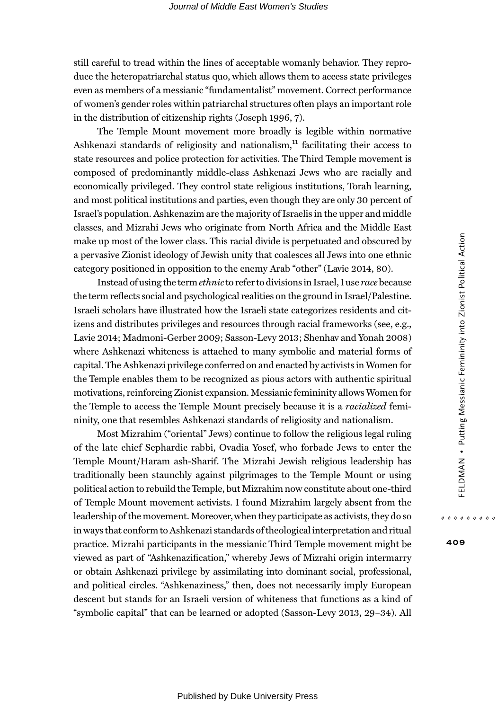still careful to tread within the lines of acceptable womanly behavior. They reproduce the heteropatriarchal status quo, which allows them to access state privileges even as members of a messianic "fundamentalist" movement. Correct performance of women's gender roles within patriarchal structures often plays an important role in the distribution of citizenship rights (Joseph 1996, 7).

The Temple Mount movement more broadly is legible within normative Ashkenazi standards of religiosity and nationalism, $<sup>11</sup>$  facilitating their access to</sup> state resources and police protection for activities. The Third Temple movement is composed of predominantly middle-class Ashkenazi Jews who are racially and economically privileged. They control state religious institutions, Torah learning, and most political institutions and parties, even though they are only 30 percent of Israel's population. Ashkenazim are the majority of Israelis in the upper and middle classes, and Mizrahi Jews who originate from North Africa and the Middle East make up most of the lower class. This racial divide is perpetuated and obscured by a pervasive Zionist ideology of Jewish unity that coalesces all Jews into one ethnic category positioned in opposition to the enemy Arab "other" (Lavie 2014, 80).

Instead of using the termethnicto refer to divisions in Israel, I use race because the term reflects social and psychological realities on the ground in Israel/Palestine. Israeli scholars have illustrated how the Israeli state categorizes residents and citizens and distributes privileges and resources through racial frameworks (see, e.g., Lavie 2014; Madmoni-Gerber 2009; Sasson-Levy 2013; Shenhav and Yonah 2008) where Ashkenazi whiteness is attached to many symbolic and material forms of capital. The Ashkenazi privilege conferred on and enacted by activists in Women for the Temple enables them to be recognized as pious actors with authentic spiritual motivations, reinforcing Zionist expansion. Messianic femininity allowsWomen for the Temple to access the Temple Mount precisely because it is a *racialized* femininity, one that resembles Ashkenazi standards of religiosity and nationalism.

Most Mizrahim ("oriental" Jews) continue to follow the religious legal ruling of the late chief Sephardic rabbi, Ovadia Yosef, who forbade Jews to enter the Temple Mount/Haram ash-Sharif. The Mizrahi Jewish religious leadership has traditionally been staunchly against pilgrimages to the Temple Mount or using political action to rebuild the Temple, but Mizrahim now constitute about one-third of Temple Mount movement activists. I found Mizrahim largely absent from the leadership of the movement. Moreover,when they participate as activists, they do so in ways that conform to Ashkenazi standards of theological interpretation and ritual practice. Mizrahi participants in the messianic Third Temple movement might be viewed as part of "Ashkenazification," whereby Jews of Mizrahi origin intermarry or obtain Ashkenazi privilege by assimilating into dominant social, professional, and political circles. "Ashkenaziness," then, does not necessarily imply European descent but stands for an Israeli version of whiteness that functions as a kind of "symbolic capital" that can be learned or adopted (Sasson-Levy 2013, 29–34). All

409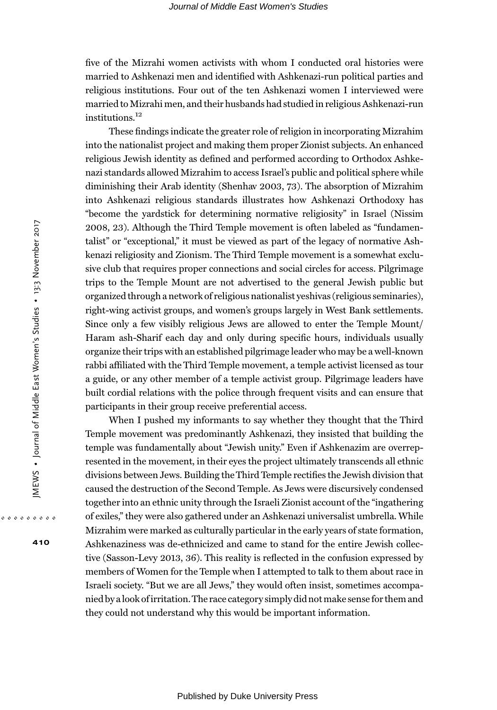five of the Mizrahi women activists with whom I conducted oral histories were married to Ashkenazi men and identified with Ashkenazi-run political parties and religious institutions. Four out of the ten Ashkenazi women I interviewed were married to Mizrahi men, and their husbands had studied in religious Ashkenazi-run institutions.<sup>12</sup>

These findings indicate the greater role of religion in incorporating Mizrahim into the nationalist project and making them proper Zionist subjects. An enhanced religious Jewish identity as defined and performed according to Orthodox Ashkenazi standards allowed Mizrahim to access Israel's public and political sphere while diminishing their Arab identity (Shenhav 2003, 73). The absorption of Mizrahim into Ashkenazi religious standards illustrates how Ashkenazi Orthodoxy has "become the yardstick for determining normative religiosity" in Israel (Nissim 2008, 23). Although the Third Temple movement is often labeled as "fundamentalist" or "exceptional," it must be viewed as part of the legacy of normative Ashkenazi religiosity and Zionism. The Third Temple movement is a somewhat exclusive club that requires proper connections and social circles for access. Pilgrimage trips to the Temple Mount are not advertised to the general Jewish public but organized through a network of religious nationalist yeshivas (religious seminaries), right-wing activist groups, and women's groups largely in West Bank settlements. Since only a few visibly religious Jews are allowed to enter the Temple Mount/ Haram ash-Sharif each day and only during specific hours, individuals usually organize their trips with an established pilgrimage leader who may be a well-known rabbi affiliated with the Third Temple movement, a temple activist licensed as tour a guide, or any other member of a temple activist group. Pilgrimage leaders have built cordial relations with the police through frequent visits and can ensure that participants in their group receive preferential access.

When I pushed my informants to say whether they thought that the Third Temple movement was predominantly Ashkenazi, they insisted that building the temple was fundamentally about "Jewish unity." Even if Ashkenazim are overrepresented in the movement, in their eyes the project ultimately transcends all ethnic divisions between Jews. Building the Third Temple rectifies the Jewish division that caused the destruction of the Second Temple. As Jews were discursively condensed together into an ethnic unity through the Israeli Zionist account of the "ingathering of exiles," they were also gathered under an Ashkenazi universalist umbrella. While Mizrahim were marked as culturally particular in the early years of state formation, Ashkenaziness was de-ethnicized and came to stand for the entire Jewish collective (Sasson-Levy 2013, 36). This reality is reflected in the confusion expressed by members of Women for the Temple when I attempted to talk to them about race in Israeli society. "But we are all Jews," they would often insist, sometimes accompanied by a look ofirritation. The race category simply did notmake sense for them and they could not understand why this would be important information.

410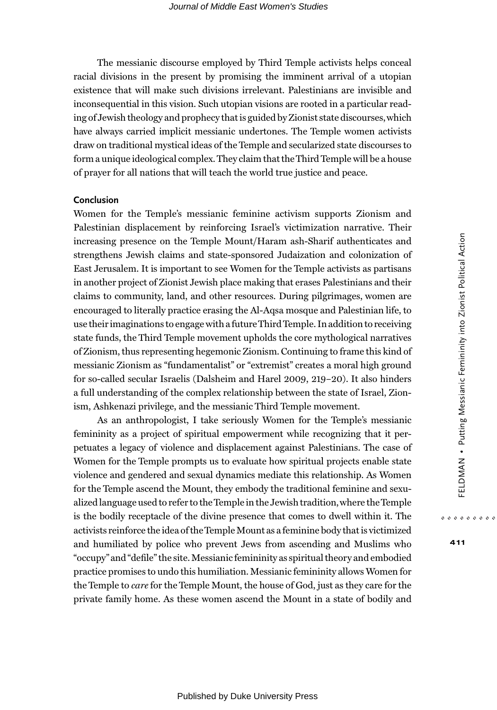The messianic discourse employed by Third Temple activists helps conceal racial divisions in the present by promising the imminent arrival of a utopian existence that will make such divisions irrelevant. Palestinians are invisible and inconsequential in this vision. Such utopian visions are rooted in a particular reading of Jewish theology and prophecy that is guided by Zionist state discourses,which have always carried implicit messianic undertones. The Temple women activists draw on traditional mystical ideas of the Temple and secularized state discourses to form a unique ideological complex. They claim that the Third Temple will be a house of prayer for all nations that will teach the world true justice and peace.

# Conclusion

Women for the Temple's messianic feminine activism supports Zionism and Palestinian displacement by reinforcing Israel's victimization narrative. Their increasing presence on the Temple Mount/Haram ash-Sharif authenticates and strengthens Jewish claims and state-sponsored Judaization and colonization of East Jerusalem. It is important to see Women for the Temple activists as partisans in another project of Zionist Jewish place making that erases Palestinians and their claims to community, land, and other resources. During pilgrimages, women are encouraged to literally practice erasing the Al-Aqsa mosque and Palestinian life, to use their imaginations to engage with a futureThird Temple. In addition to receiving state funds, the Third Temple movement upholds the core mythological narratives of Zionism, thus representing hegemonic Zionism. Continuing to frame this kind of messianic Zionism as "fundamentalist" or "extremist" creates a moral high ground for so-called secular Israelis (Dalsheim and Harel 2009, 219–20). It also hinders a full understanding of the complex relationship between the state of Israel, Zionism, Ashkenazi privilege, and the messianic Third Temple movement.

As an anthropologist, I take seriously Women for the Temple's messianic femininity as a project of spiritual empowerment while recognizing that it perpetuates a legacy of violence and displacement against Palestinians. The case of Women for the Temple prompts us to evaluate how spiritual projects enable state violence and gendered and sexual dynamics mediate this relationship. As Women for the Temple ascend the Mount, they embody the traditional feminine and sexualized language used to refer to theTemple in the Jewish tradition,where theTemple is the bodily receptacle of the divine presence that comes to dwell within it. The activists reinforce the idea of theTemple Mount as a feminine body that is victimized and humiliated by police who prevent Jews from ascending and Muslims who "occupy" and "defile" the site.Messianic femininity as spiritual theory and embodied practice promises to undo this humiliation. Messianic femininity allows Women for the Temple to care for the Temple Mount, the house of God, just as they care for the private family home. As these women ascend the Mount in a state of bodily and

411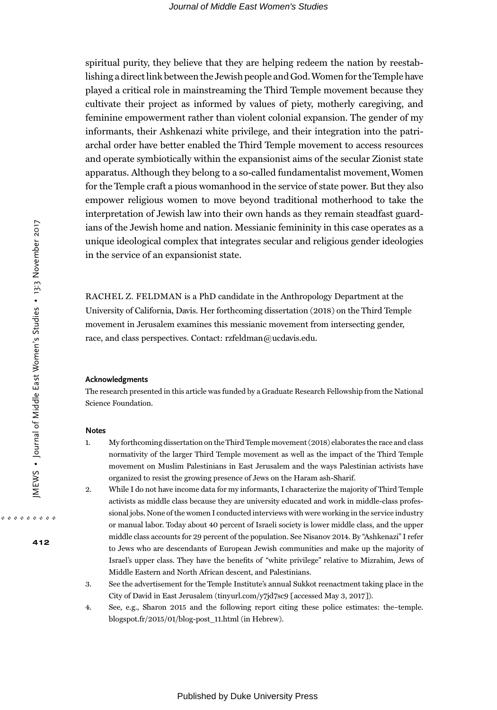spiritual purity, they believe that they are helping redeem the nation by reestablishing a direct link between the Jewish people and God.Women for theTemple have played a critical role in mainstreaming the Third Temple movement because they cultivate their project as informed by values of piety, motherly caregiving, and feminine empowerment rather than violent colonial expansion. The gender of my informants, their Ashkenazi white privilege, and their integration into the patriarchal order have better enabled the Third Temple movement to access resources and operate symbiotically within the expansionist aims of the secular Zionist state apparatus. Although they belong to a so-called fundamentalist movement,Women for the Temple craft a pious womanhood in the service of state power. But they also empower religious women to move beyond traditional motherhood to take the interpretation of Jewish law into their own hands as they remain steadfast guardians of the Jewish home and nation. Messianic femininity in this case operates as a unique ideological complex that integrates secular and religious gender ideologies in the service of an expansionist state.

RACHEL Z. FELDMAN is a PhD candidate in the Anthropology Department at the University of California, Davis. Her forthcoming dissertation (2018) on the Third Temple movement in Jerusalem examines this messianic movement from intersecting gender, race, and class perspectives. Contact: rzfeldman@ucdavis.edu.

#### Acknowledgments

The research presented in this article was funded by a Graduate Research Fellowship from the National Science Foundation.

#### Notes

- 1. My forthcoming dissertation on theThird Temple movement (2018) elaborates the race and class normativity of the larger Third Temple movement as well as the impact of the Third Temple movement on Muslim Palestinians in East Jerusalem and the ways Palestinian activists have organized to resist the growing presence of Jews on the Haram ash-Sharif.
- 2. While I do not have income data for my informants, I characterize the majority of Third Temple activists as middle class because they are university educated and work in middle-class professional jobs. None of the women I conducted interviews with were working in the service industry or manual labor. Today about 40 percent of Israeli society is lower middle class, and the upper middle class accounts for 29 percent of the population. See Nisanov 2014. By "Ashkenazi" I refer to Jews who are descendants of European Jewish communities and make up the majority of Israel's upper class. They have the benefits of "white privilege" relative to Mizrahim, Jews of Middle Eastern and North African descent, and Palestinians.
- 3. See the advertisement for the Temple Institute's annual Sukkot reenactment taking place in the City of David in East Jerusalem (tinyurl.com/y7jd7sc9 [accessed May 3, 2017]).
- 4. See, e.g., Sharon 2015 and the following report citing these police estimates: the–temple. blogspot.fr/2015/01/blog-post\_11.html (in Hebrew).

412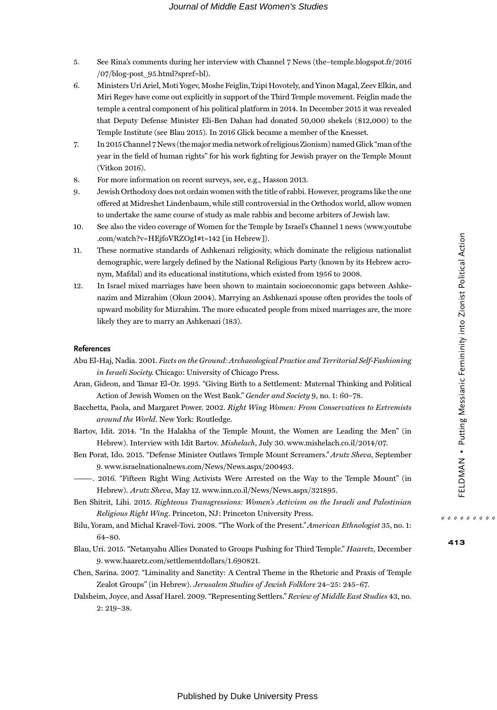- 5. See Rina's comments during her interview with Channel 7 News (the–temple.blogspot.fr/2016 /07/blog-post\_95.html?spref=bl).
- 6. Ministers Uri Ariel, Moti Yogev, Moshe Feiglin,Tzipi Hovotely, and Yinon Magal, Zeev Elkin, and Miri Regev have come out explicitly in support of the Third Temple movement. Feiglin made the temple a central component of his political platform in 2014. In December 2015 it was revealed that Deputy Defense Minister Eli-Ben Dahan had donated 50,000 shekels (\$12,000) to the Temple Institute (see Blau 2015). In 2016 Glick became a member of the Knesset.
- 7. In 2015 Channel 7 News (themajor media network of religious Zionism) named Glick "man of the year in the field of human rights" for his work fighting for Jewish prayer on the Temple Mount (Vitkon 2016).
- 8. For more information on recent surveys, see, e.g., Hasson 2013.
- 9. Jewish Orthodoxy does not ordain women with the title of rabbi. However, programs like the one offered at Midreshet Lindenbaum, while still controversial in the Orthodox world, allow women to undertake the same course of study as male rabbis and become arbiters of Jewish law.
- 10. See also the video coverage of Women for the Temple by Israel's Channel 1 news ([www.youtube](www.youtube.com/watch?v=HEjfoVRZOgI#t=142) [.com/watch?v=HEjfoVRZOgI#t=142](www.youtube.com/watch?v=HEjfoVRZOgI#t=142) [in Hebrew]).
- 11. These normative standards of Ashkenazi religiosity, which dominate the religious nationalist demographic, were largely defined by the National Religious Party (known by its Hebrew acronym, Mafdal) and its educational institutions, which existed from 1956 to 2008.
- 12. In Israel mixed marriages have been shown to maintain socioeconomic gaps between Ashkenazim and Mizrahim (Okun 2004). Marrying an Ashkenazi spouse often provides the tools of upward mobility for Mizrahim. The more educated people from mixed marriages are, the more likely they are to marry an Ashkenazi (183).

#### References

- Abu El-Haj, Nadia. 2001. Facts on the Ground: Archaeological Practice and Territorial Self-Fashioning in Israeli Society. Chicago: University of Chicago Press.
- Aran, Gideon, and Tamar El-Or. 1995. "Giving Birth to a Settlement: Maternal Thinking and Political Action of Jewish Women on the West Bank." Gender and Society 9, no. 1: 60–78.
- Bacchetta, Paola, and Margaret Power. 2002. Right Wing Women: From Conservatives to Extremists around the World. New York: Routledge.
- Bartov, Idit. 2014. "In the Halakha of the Temple Mount, the Women are Leading the Men" (in Hebrew). Interview with Idit Bartov. Mishelach, July 30. [www.mishelach.co.il/2014/07.](www.mishelach.co.il/2014/07)
- Ben Porat, Ido. 2015. "Defense Minister Outlaws Temple Mount Screamers." Arutz Sheva, September 9. [www.israelnationalnews.com/News/News.aspx/200493.](www.israelnationalnews.com/News/News.aspx/200493)
- ———. 2016. "Fifteen Right Wing Activists Were Arrested on the Way to the Temple Mount" (in Hebrew). Arutz Sheva, May 12.<www.inn.co.il/News/News.aspx/321895>.
- Ben Shitrit, Lihi. 2015. Righteous Transgressions: Women's Activism on the Israeli and Palestinian Religious Right Wing. Princeton, NJ: Princeton University Press.
- Bilu, Yoram, and Michal Kravel-Tovi. 2008. "The Work of the Present." American Ethnologist 35, no. 1: 64–80.
- Blau, Uri. 2015. "Netanyahu Allies Donated to Groups Pushing for Third Temple." Haaretz, December 9. [www.haaretz.com/settlementdollars/1.690821.](www.haaretz.com/settlementdollars/1.690821)
- Chen, Sarina. 2007. "Liminality and Sanctity: A Central Theme in the Rhetoric and Praxis of Temple Zealot Groups" (in Hebrew). Jerusalem Studies of Jewish Folklore 24–25: 245–67.
- Dalsheim, Joyce, and Assaf Harel. 2009. "Representing Settlers." Review of Middle East Studies 43, no. 2: 219–38.

413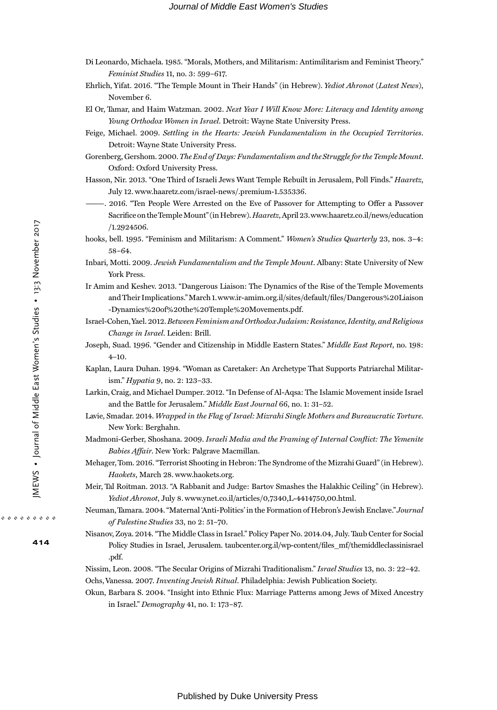- Di Leonardo, Michaela. 1985. "Morals, Mothers, and Militarism: Antimilitarism and Feminist Theory." Feminist Studies 11, no. 3: 599–617.
- Ehrlich, Yifat. 2016. "The Temple Mount in Their Hands" (in Hebrew). Yediot Ahronot (Latest News), November 6.
- El Or, Tamar, and Haim Watzman. 2002. Next Year I Will Know More: Literacy and Identity among Young Orthodox Women in Israel. Detroit: Wayne State University Press.
- Feige, Michael. 2009. Settling in the Hearts: Jewish Fundamentalism in the Occupied Territories. Detroit: Wayne State University Press.
- Gorenberg, Gershom. 2000.The End of Days: Fundamentalism and the Struggle for the Temple Mount. Oxford: Oxford University Press.
- Hasson, Nir. 2013. "One Third of Israeli Jews Want Temple Rebuilt in Jerusalem, Poll Finds." Haaretz, July 12. [www.haaretz.com/israel-news/.premium-1.535336.](www.haaretz.com/israel-news/.premium-1.535336)
	- ———. 2016. "Ten People Were Arrested on the Eve of Passover for Attempting to Offer a Passover Sacrifice on the Temple Mount" (in Hebrew). Haaretz, April 23.[www.haaretz.co.il/news/education](www.haaretz.co.il/news/education/1.2924506) [/1.2924506](www.haaretz.co.il/news/education/1.2924506).
- hooks, bell. 1995. "Feminism and Militarism: A Comment." Women's Studies Quarterly 23, nos. 3–4: 58–64.
- Inbari, Motti. 2009. Jewish Fundamentalism and the Temple Mount. Albany: State University of New York Press.
- Ir Amim and Keshev. 2013. "Dangerous Liaison: The Dynamics of the Rise of the Temple Movements and Their Implications."March 1[.www.ir-amim.org.il/sites/default/](http://www.ir-amim.org.il/sites/default/files/Dangerous%20Liaison-Dynamics%20of%20the%20Temple%20Movements.pdf)files/Dangerous%20Liaison [-Dynamics%20of%20the%20Temple%20Movements.pdf.](http://www.ir-amim.org.il/sites/default/files/Dangerous%20Liaison-Dynamics%20of%20the%20Temple%20Movements.pdf)
- Israel-Cohen,Yael. 2012.Between Feminism and Orthodox Judaism: Resistance, Identity, and Religious Change in Israel. Leiden: Brill.
- Joseph, Suad. 1996. "Gender and Citizenship in Middle Eastern States." Middle East Report, no. 198: 4–10.
- Kaplan, Laura Duhan. 1994. "Woman as Caretaker: An Archetype That Supports Patriarchal Militarism." Hypatia 9, no. 2: 123–33.
- Larkin, Craig, and Michael Dumper. 2012. "In Defense of Al-Aqsa: The Islamic Movement inside Israel and the Battle for Jerusalem." Middle East Journal 66, no. 1: 31–52.
- Lavie, Smadar. 2014. Wrapped in the Flag of Israel: Mizrahi Single Mothers and Bureaucratic Torture. New York: Berghahn.
- Madmoni-Gerber, Shoshana. 2009. Israeli Media and the Framing of Internal Conflict: The Yemenite Babies Affair. New York: Palgrave Macmillan.
- Mehager, Tom. 2016. "Terrorist Shooting in Hebron: The Syndrome of the Mizrahi Guard" (in Hebrew). Haokets, March 28. [www.haokets.org.](www.haokets.org)
- Meir, Tal Roitman. 2013. "A Rabbanit and Judge: Bartov Smashes the Halakhic Ceiling" (in Hebrew). Yediot Ahronot, July 8.<www.ynet.co.il/articles/0,7340,L-4414750,00.html>.
- Neuman,Tamara. 2004. "Maternal 'Anti-Politics' in the Formation of Hebron's Jewish Enclave." Journal of Palestine Studies 33, no 2: 51–70.
- Nisanov, Zoya. 2014. "The Middle Class in Israel." Policy Paper No. 2014.04, July. Taub Center for Social Policy Studies in Israel, Jerusalem. taubcenter.org.il/wp-content/files\_mf/themiddleclassinisrael .pdf.

Nissim, Leon. 2008. "The Secular Origins of Mizrahi Traditionalism." Israel Studies 13, no. 3: 22–42. Ochs, Vanessa. 2007. Inventing Jewish Ritual. Philadelphia: Jewish Publication Society.

Okun, Barbara S. 2004. "Insight into Ethnic Flux: Marriage Patterns among Jews of Mixed Ancestry in Israel." Demography 41, no. 1: 173–87.

414

Published by Duke University Press